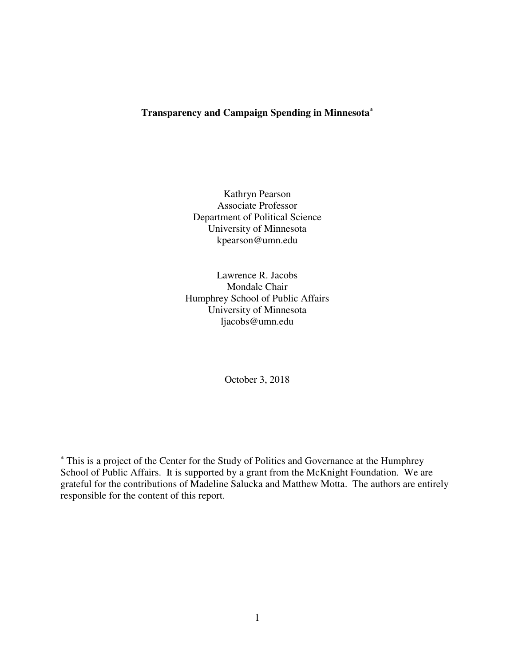# **Transparency and Campaign Spending in Minnesota\***

Kathryn Pearson Associate Professor Department of Political Science University of Minnesota kpearson@umn.edu

Lawrence R. Jacobs Mondale Chair Humphrey School of Public Affairs University of Minnesota ljacobs@umn.edu

October 3, 2018

**\*** This is a project of the Center for the Study of Politics and Governance at the Humphrey School of Public Affairs. It is supported by a grant from the McKnight Foundation. We are grateful for the contributions of Madeline Salucka and Matthew Motta. The authors are entirely responsible for the content of this report.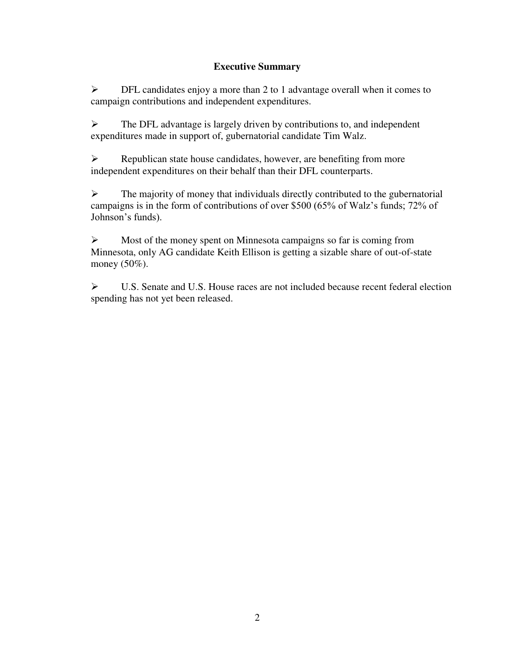# **Executive Summary**

 $\triangleright$  DFL candidates enjoy a more than 2 to 1 advantage overall when it comes to campaign contributions and independent expenditures.

 $\triangleright$  The DFL advantage is largely driven by contributions to, and independent expenditures made in support of, gubernatorial candidate Tim Walz.

 $\triangleright$  Republican state house candidates, however, are benefiting from more independent expenditures on their behalf than their DFL counterparts.

 $\triangleright$  The majority of money that individuals directly contributed to the gubernatorial campaigns is in the form of contributions of over \$500 (65% of Walz's funds; 72% of Johnson's funds).

 $\triangleright$  Most of the money spent on Minnesota campaigns so far is coming from Minnesota, only AG candidate Keith Ellison is getting a sizable share of out-of-state money (50%).

 U.S. Senate and U.S. House races are not included because recent federal election spending has not yet been released.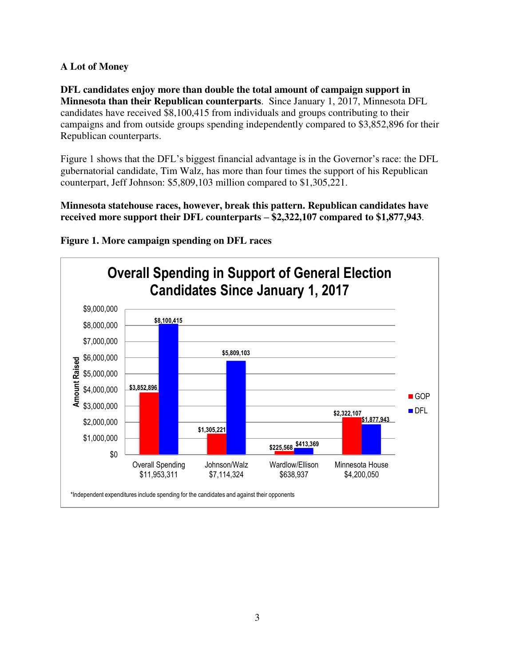## **A Lot of Money**

**DFL candidates enjoy more than double the total amount of campaign support in Minnesota than their Republican counterparts**. Since January 1, 2017, Minnesota DFL candidates have received \$8,100,415 from individuals and groups contributing to their campaigns and from outside groups spending independently compared to \$3,852,896 for their Republican counterparts.

Figure 1 shows that the DFL's biggest financial advantage is in the Governor's race: the DFL gubernatorial candidate, Tim Walz, has more than four times the support of his Republican counterpart, Jeff Johnson: \$5,809,103 million compared to \$1,305,221.

**Minnesota statehouse races, however, break this pattern. Republican candidates have received more support their DFL counterparts – \$2,322,107 compared to \$1,877,943**.



**Figure 1. More campaign spending on DFL races**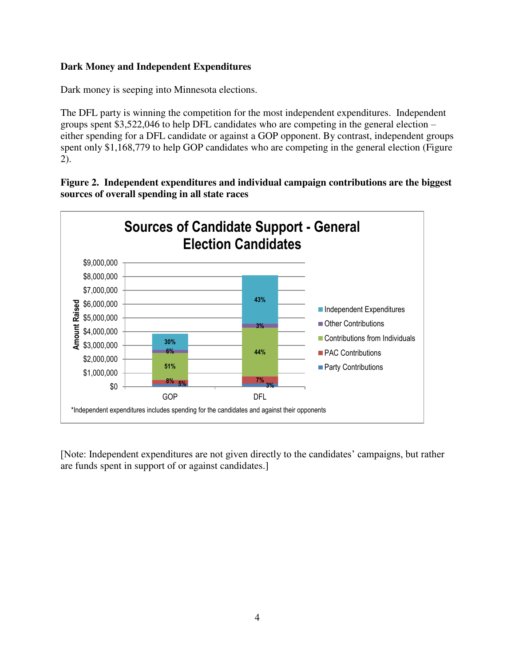## **Dark Money and Independent Expenditures**

Dark money is seeping into Minnesota elections.

The DFL party is winning the competition for the most independent expenditures. Independent groups spent \$3,522,046 to help DFL candidates who are competing in the general election – either spending for a DFL candidate or against a GOP opponent. By contrast, independent groups spent only \$1,168,779 to help GOP candidates who are competing in the general election (Figure 2).





[Note: Independent expenditures are not given directly to the candidates' campaigns, but rather are funds spent in support of or against candidates.]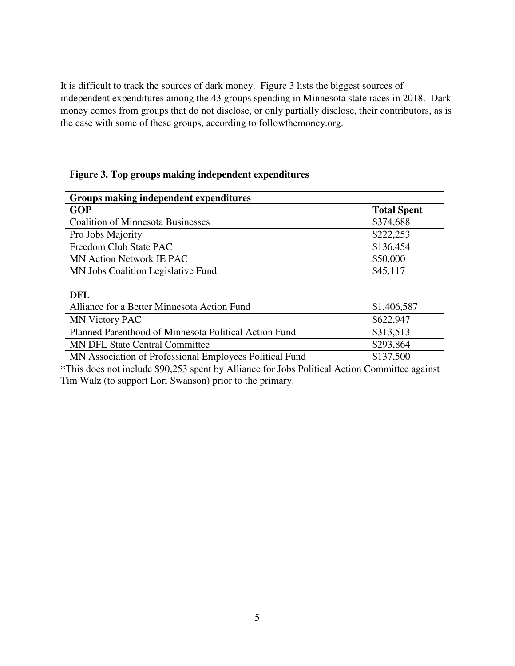It is difficult to track the sources of dark money. Figure 3 lists the biggest sources of independent expenditures among the 43 groups spending in Minnesota state races in 2018. Dark money comes from groups that do not disclose, or only partially disclose, their contributors, as is the case with some of these groups, according to followthemoney.org.

| Groups making independent expenditures                  |                    |
|---------------------------------------------------------|--------------------|
| <b>GOP</b>                                              | <b>Total Spent</b> |
| <b>Coalition of Minnesota Businesses</b>                | \$374,688          |
| Pro Jobs Majority                                       | \$222,253          |
| Freedom Club State PAC                                  | \$136,454          |
| MN Action Network IE PAC                                | \$50,000           |
| MN Jobs Coalition Legislative Fund                      | \$45,117           |
|                                                         |                    |
| <b>DFL</b>                                              |                    |
| Alliance for a Better Minnesota Action Fund             | \$1,406,587        |
| <b>MN Victory PAC</b>                                   | \$622,947          |
| Planned Parenthood of Minnesota Political Action Fund   | \$313,513          |
| <b>MN DFL State Central Committee</b>                   | \$293,864          |
| MN Association of Professional Employees Political Fund | \$137,500          |

### **Figure 3. Top groups making independent expenditures**

\*This does not include \$90,253 spent by Alliance for Jobs Political Action Committee against Tim Walz (to support Lori Swanson) prior to the primary.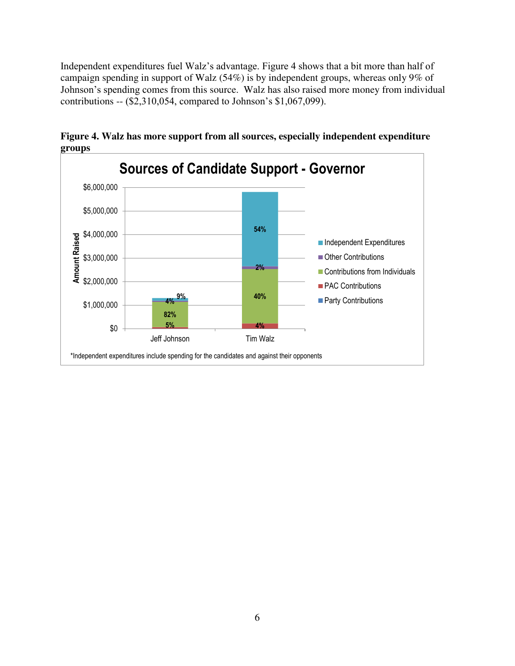Independent expenditures fuel Walz's advantage. Figure 4 shows that a bit more than half of campaign spending in support of Walz (54%) is by independent groups, whereas only 9% of Johnson's spending comes from this source. Walz has also raised more money from individual contributions -- (\$2,310,054, compared to Johnson's \$1,067,099).



**Figure 4. Walz has more support from all sources, especially independent expenditure groups**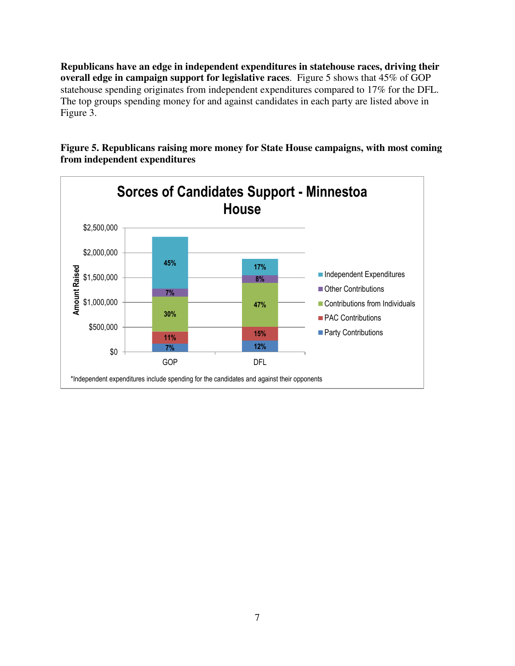**Republicans have an edge in independent expenditures in statehouse races, driving their overall edge in campaign support for legislative races**. Figure 5 shows that 45% of GOP statehouse spending originates from independent expenditures compared to 17% for the DFL. The top groups spending money for and against candidates in each party are listed above in Figure 3.



**Figure 5. Republicans raising more money for State House campaigns, with most coming from independent expenditures**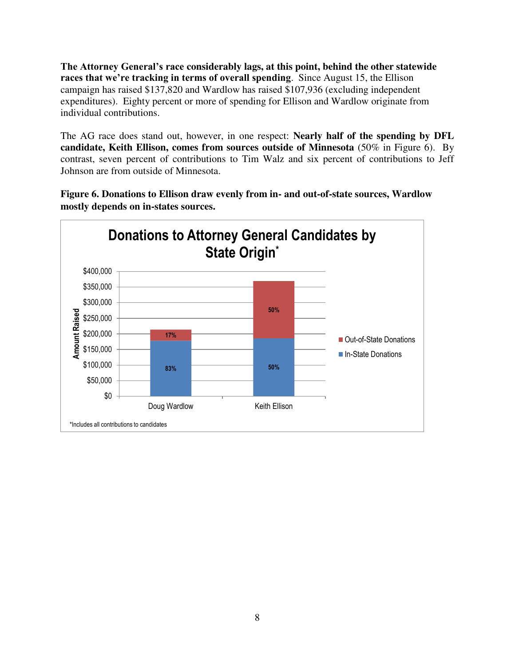**The Attorney General's race considerably lags, at this point, behind the other statewide races that we're tracking in terms of overall spending**. Since August 15, the Ellison campaign has raised \$137,820 and Wardlow has raised \$107,936 (excluding independent expenditures). Eighty percent or more of spending for Ellison and Wardlow originate from individual contributions.

The AG race does stand out, however, in one respect: **Nearly half of the spending by DFL candidate, Keith Ellison, comes from sources outside of Minnesota** (50% in Figure 6). By contrast, seven percent of contributions to Tim Walz and six percent of contributions to Jeff Johnson are from outside of Minnesota.

**Figure 6. Donations to Ellison draw evenly from in- and out-of-state sources, Wardlow mostly depends on in-states sources.** 

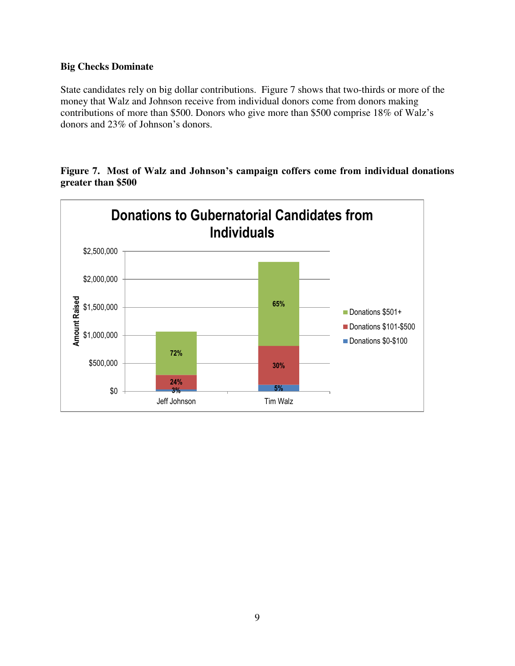### **Big Checks Dominate**

State candidates rely on big dollar contributions. Figure 7 shows that two-thirds or more of the money that Walz and Johnson receive from individual donors come from donors making contributions of more than \$500. Donors who give more than \$500 comprise 18% of Walz's donors and 23% of Johnson's donors.

**Figure 7. Most of Walz and Johnson's campaign coffers come from individual donations greater than \$500** 

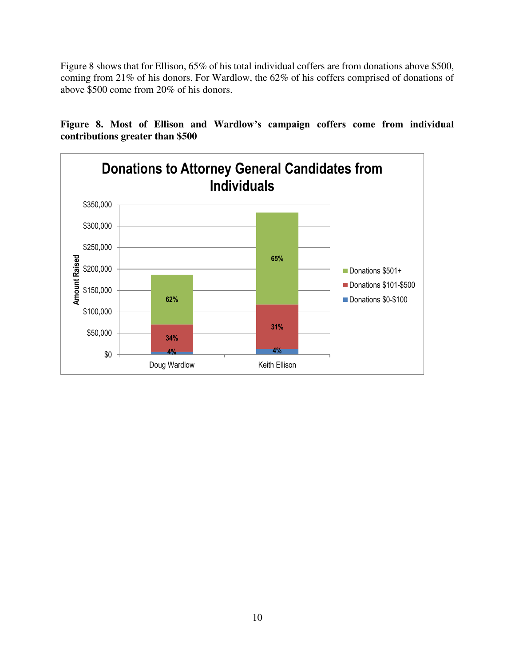Figure 8 shows that for Ellison, 65% of his total individual coffers are from donations above \$500, coming from 21% of his donors. For Wardlow, the 62% of his coffers comprised of donations of above \$500 come from 20% of his donors.

**Figure 8. Most of Ellison and Wardlow's campaign coffers come from individual contributions greater than \$500** 

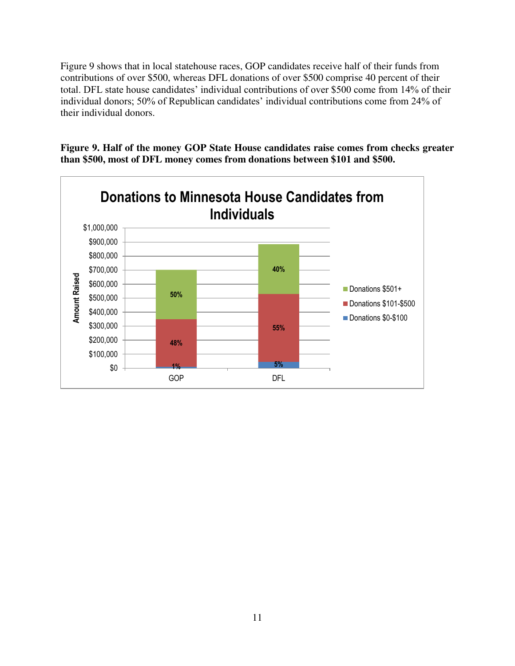Figure 9 shows that in local statehouse races, GOP candidates receive half of their funds from contributions of over \$500, whereas DFL donations of over \$500 comprise 40 percent of their total. DFL state house candidates' individual contributions of over \$500 come from 14% of their individual donors; 50% of Republican candidates' individual contributions come from 24% of their individual donors.

**Figure 9. Half of the money GOP State House candidates raise comes from checks greater than \$500, most of DFL money comes from donations between \$101 and \$500.**